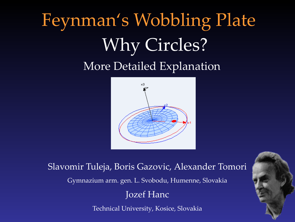## Feynman's Wobbling Plate Why Circles? More Detailed Explanation



Slavomir Tuleja, Boris Gazovic, Alexander Tomori Gymnazium arm. gen. L. Svobodu, Humenne, Slovakia Jozef Hanc

Technical University, Kosice, Slovakia

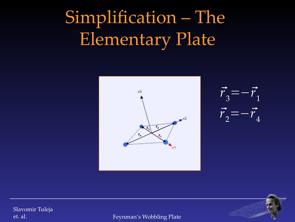# Simplification – The Elementary Plate







Slavomir Tuleja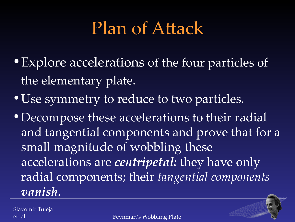### Plan of Atack

- Explore accelerations of the four particles of the elementary plate.
- Use symmetry to reduce to two particles.
- Decompose these accelerations to their radial and tangential components and prove that for a small magnitude of wobbling these accelerations are *centripetal:* they have only radial components; their *tangential components vanish.*

Slavomir Tuleja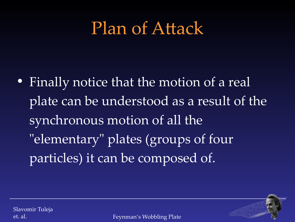### Plan of Atack

• Finally notice that the motion of a real plate can be understood as a result of the synchronous motion of all the "elementary" plates (groups of four particles) it can be composed of.

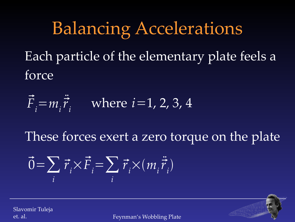### Balancing Accelerations

Each particle of the elementary plate feels a force

$$
\vec{F}_i = m_i \ddot{\vec{r}}_i
$$
 where  $i = 1, 2, 3, 4$ 

These forces exert a zero torque on the plate

$$
\vec{0} = \sum_{i} \vec{r}_{i} \times \vec{F}_{i} = \sum_{i} \vec{r}_{i} \times (m_{i} \ddot{\vec{r}}_{i})
$$

Slavomir Tuleja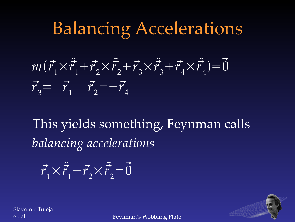### Balancing Accelerations



This yields something, Feynman calls *balancing accelerations*

$$
\vec{r}_1 \times \ddot{\vec{r}}_1 + \vec{r}_2 \times \ddot{\vec{r}}_2 = \vec{0}
$$

Slavomir Tuleja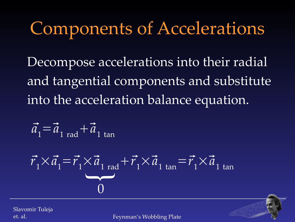### Components of Accelerations

Decompose accelerations into their radial and tangential components and substitute into the acceleration balance equation.

$$
\vec{a}_1 = \vec{a}_{1 \text{ rad}} + \vec{a}_{1 \text{ tan}}
$$

$$
\vec{r}_1 \times \vec{a}_1 = \vec{r}_1 \times \vec{a}_1_{rad} + \vec{r}_1 \times \vec{a}_1_{tan} = \vec{r}_1 \times \vec{a}_1_{tan}
$$

Slavomir Tuleja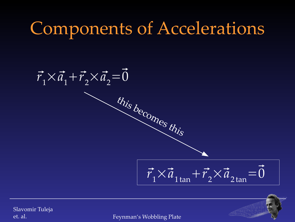### Components of Accelerations

 $\vec{r}_1 \times \vec{a}_1 + \vec{r}_2 \times \vec{a}_2 = 0$  $\vec{r}_1 \times \vec{a}_{1 \tan} + \vec{r}_2 \times \vec{a}_{2 \tan} = \vec{0}$ this becomes this

Slavomir Tuleja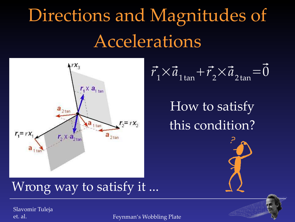# Directions and Magnitudes of Accelerations



$$
\vec{r}_1 \times \vec{a}_{1 \tan} + \vec{r}_2 \times \vec{a}_{2 \tan} = \vec{0}
$$

How to satisfy this condition?

#### Wrong way to satisfy it ...

Slavomir Tuleja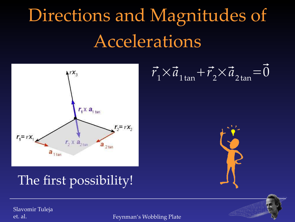# Directions and Magnitudes of Accelerations



 $\vec{r}_1 \times \vec{a}_{1 \tan} + \vec{r}_2 \times \vec{a}_{2 \tan} = \vec{0}$ 

#### The first possibility!

Slavomir Tuleja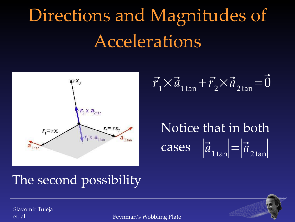# Directions and Magnitudes of Accelerations



$$
\vec{r}_1 \times \vec{a}_{1 \tan} + \vec{r}_2 \times \vec{a}_{2 \tan} = \vec{0}
$$

 $\left| \vec{a}_{1 \tan} \right| = \left| \vec{a}_{2 \tan} \right|$ Notice that in both

#### The second possibility

Slavomir Tuleja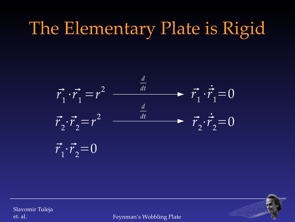### The Elementary Plate is Rigid



Slavomir Tuleja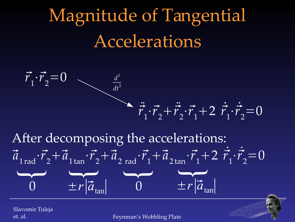# Magnitude of Tangential Accelerations



After decomposing the accelerations:  $\vec{a}_{1 \text{ rad}} \cdot \vec{r}_2 + \vec{a}_{1 \text{ tan}} \cdot \vec{r}_2 + \vec{a}_{2 \text{ rad}} \cdot \vec{r}_1 + \vec{a}_{2 \text{ tan}} \cdot \vec{r}_1 + 2 \vec{r}_1 \cdot \vec{r}_2 = 0$  $\overline{\phantom{a}}$ 0  $\rightarrow$ 0  $\overline{\phantom{0}}$  $\pm r|\vec{a}_{\tan}|$  $\overline{\phantom{a}}$  $\pm r|\vec{a}_{\text{tan}}|$ 

Slavomir Tuleja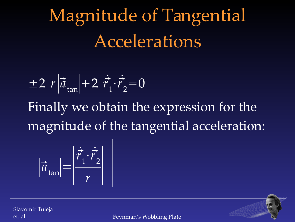Magnitude of Tangential Accelerations

$$
\pm 2 r |\vec{a}_{\tan}| + 2 \vec{r}_1 \cdot \vec{r}_2 = 0
$$

Finally we obtain the expression for the magnitude of the tangential acceleration:

$$
|\vec{a}_{\tan}| = \left| \frac{\vec{r}_1 \cdot \vec{r}_2}{r} \right|
$$

Slavomir Tuleja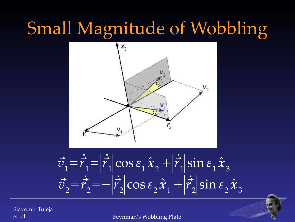### Small Magnitude of Wobbling



$$
\vec{v}_1 = \vec{r}_1 = |\vec{r}_1| \cos \varepsilon_1 \hat{x}_2 + |\vec{r}_1| \sin \varepsilon_1 \hat{x}_3
$$
  

$$
\vec{v}_2 = \vec{r}_2 = -|\vec{r}_2| \cos \varepsilon_2 \hat{x}_1 + |\vec{r}_2| \sin \varepsilon_2 \hat{x}_3
$$

Slavomir Tuleja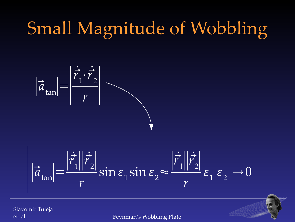## Small Magnitude of Wobbling



$$
|\vec{a}_{\tan}| = \frac{|\vec{r}_1||\vec{r}_2|}{r} \sin \varepsilon_1 \sin \varepsilon_2 \approx \frac{|\vec{r}_1||\vec{r}_2|}{r} \varepsilon_1 \varepsilon_2 \to 0
$$

Slavomir Tuleja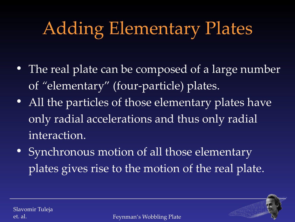# Adding Elementary Plates

- The real plate can be composed of a large number of *"*elementary" (four-particle) plates.
- All the particles of those elementary plates have only radial accelerations and thus only radial interaction.
- Synchronous motion of all those elementary plates gives rise to the motion of the real plate.

Slavomir Tuleja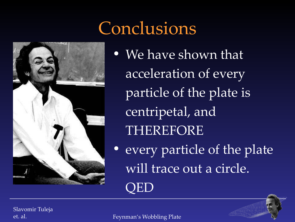### Conclusions



• We have shown that acceleration of every particle of the plate is centripetal, and THEREFORE

• every particle of the plate will trace out a circle.

QED